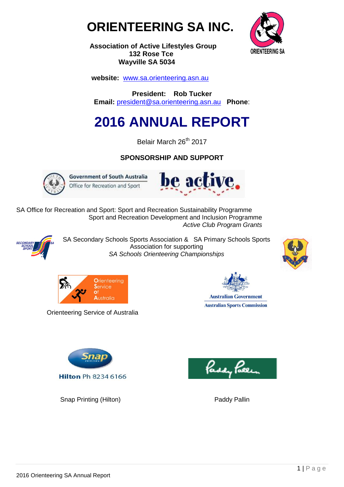



 **Association of Active Lifestyles Group 132 Rose Tce Wayville SA 5034**

 **website:** [www.sa.orienteering.asn.au](http://www.sa.orienteering.asn.au/)

**President: Rob Tucker Email:** [president@sa.orienteering.asn.au](mailto:president@sa.orienteering.asn.au) **Phone**:

# **2016 ANNUAL REPORT**

Belair March 26<sup>th</sup> 2017

# **SPONSORSHIP AND SUPPORT**



**Government of South Australia** Office for Recreation and Sport



SA Office for Recreation and Sport: Sport and Recreation Sustainability Programme Sport and Recreation Development and Inclusion Programme  *Active Club Program Grants*



SA Secondary Schools Sports Association & SA Primary Schools Sports Association for supporting *SA Schools Orienteering Championships*





Orienteering Service of Australia



**Australian Government Australian Sports Commission** 



Snap Printing (Hilton) **Paddy Pallin** Paddy Pallin

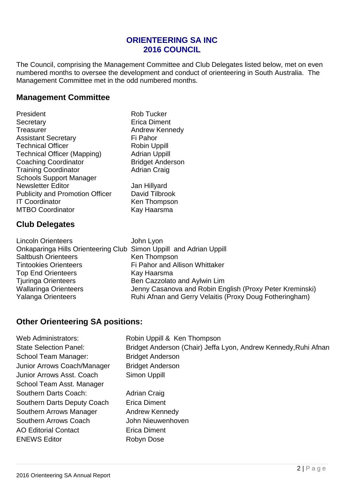# **ORIENTEERING SA INC 2016 COUNCIL**

The Council, comprising the Management Committee and Club Delegates listed below, met on even numbered months to oversee the development and conduct of orienteering in South Australia. The Management Committee met in the odd numbered months.

# **Management Committee**

Rob Tucker Erica Diment Andrew Kennedy **Fi Pahor** Robin Uppill **Adrian Uppill Bridget Anderson** Adrian Craig

Jan Hillyard David Tilbrook Ken Thompson Kay Haarsma

# **Club Delegates**

Lincoln Orienteers John Lyon Onkaparinga Hills Orienteering Club Simon Uppill and Adrian Uppill Saltbush Orienteers Ken Thompson Tintookies Orienteers Fi Pahor and Allison Whittaker Top End Orienteers Kay Haarsma Tjuringa Orienteers Ben Cazzolato and Aylwin Lim Wallaringa Orienteers **Jenny Casanova and Robin English (Proxy Peter Kreminski)** Yalanga Orienteers **Ruhi Afnan and Gerry Velaitis (Proxy Doug Fotheringham)** 

# **Other Orienteering SA positions:**

| <b>Web Administrators:</b>         |
|------------------------------------|
| <b>State Selection Panel:</b>      |
| School Team Manager:               |
| Junior Arrows Coach/Manager        |
| <b>Junior Arrows Asst. Coach</b>   |
| School Team Asst. Manager          |
| Southern Darts Coach:              |
| <b>Southern Darts Deputy Coach</b> |
| Southern Arrows Manager            |
| <b>Southern Arrows Coach</b>       |
| <b>AO Editorial Contact</b>        |
| <b>ENEWS Editor</b>                |
|                                    |

Robin Uppill & Ken Thompson Bridget Anderson (Chair) Jeffa Lyon, Andrew Kennedy,Ruhi Afnan **Bridget Anderson Bridget Anderson** Simon Uppill Adrian Craig

**Erica Diment Andrew Kennedy** John Nieuwenhoven Erica Diment Robyn Dose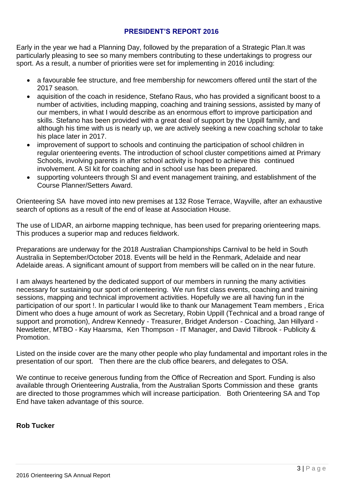#### **PRESIDENT'S REPORT 2016**

Early in the year we had a Planning Day, followed by the preparation of a Strategic Plan.It was particularly pleasing to see so many members contributing to these undertakings to progress our sport. As a result, a number of priorities were set for implementing in 2016 including:

- a favourable fee structure, and free membership for newcomers offered until the start of the 2017 season.
- aquisition of the coach in residence, Stefano Raus, who has provided a significant boost to a number of activities, including mapping, coaching and training sessions, assisted by many of our members, in what I would describe as an enormous effort to improve participation and skills. Stefano has been provided with a great deal of support by the Uppill family, and although his time with us is nearly up, we are actively seeking a new coaching scholar to take his place later in 2017.
- improvement of support to schools and continuing the participation of school children in regular orienteering events. The introduction of school cluster competitions aimed at Primary Schools, involving parents in after school activity is hoped to achieve this continued involvement. A SI kit for coaching and in school use has been prepared.
- supporting volunteers through SI and event management training, and establishment of the Course Planner/Setters Award.

Orienteering SA have moved into new premises at 132 Rose Terrace, Wayville, after an exhaustive search of options as a result of the end of lease at Association House.

The use of LIDAR, an airborne mapping technique, has been used for preparing orienteering maps. This produces a superior map and reduces fieldwork.

Preparations are underway for the 2018 Australian Championships Carnival to be held in South Australia in September/October 2018. Events will be held in the Renmark, Adelaide and near Adelaide areas. A significant amount of support from members will be called on in the near future.

I am always heartened by the dedicated support of our members in running the many activities necessary for sustaining our sport of orienteering. We run first class events, coaching and training sessions, mapping and technical improvement activities. Hopefully we are all having fun in the participation of our sport !. In particular I would like to thank our Management Team members , Erica Diment who does a huge amount of work as Secretary, Robin Uppill (Technical and a broad range of support and promotion), Andrew Kennedy - Treasurer, Bridget Anderson - Coaching, Jan Hillyard - Newsletter, MTBO - Kay Haarsma, Ken Thompson - IT Manager, and David Tilbrook - Publicity & Promotion.

Listed on the inside cover are the many other people who play fundamental and important roles in the presentation of our sport. Then there are the club office bearers, and delegates to OSA.

We continue to receive generous funding from the Office of Recreation and Sport. Funding is also available through Orienteering Australia, from the Australian Sports Commission and these grants are directed to those programmes which will increase participation. Both Orienteering SA and Top End have taken advantage of this source.

#### **Rob Tucker**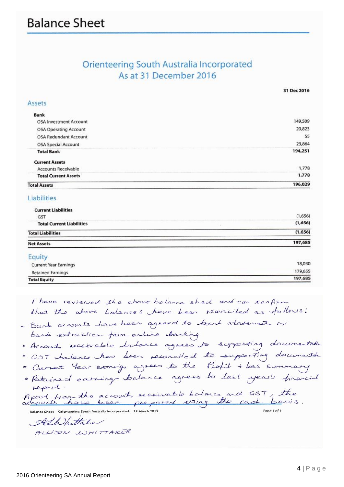# Orienteering South Australia Incorporated As at 31 December 2016

31 Dec 2016

197,685

| <b>Total Assets</b>          | 196,029 |
|------------------------------|---------|
| <b>Total Current Assets</b>  | 1,778   |
| <b>Accounts Receivable</b>   | 1,778   |
| <b>Current Assets</b>        |         |
| <b>Total Bank</b>            | 194,251 |
| OSA Special Account          | 23,864  |
| OSA Redundant Account        | 55      |
| <b>OSA Operating Account</b> | 20,823  |
| OSA Investment Account       | 149,509 |
| <b>Bank</b>                  |         |
| Assets                       |         |
|                              |         |

#### Liabilities

| <b>Current Liabilities</b><br>GST | (1,656) |
|-----------------------------------|---------|
| <b>Total Current Liabilities</b>  | (1,656) |
| <b>Total Liabilities</b>          | (1,656) |
| <b>Net Assets</b>                 | 197,685 |
| Equity                            |         |
| <b>Current Year Earnings</b>      | 18,030  |
| Detained Escainas                 | 179,655 |

**Retained Earnings Total Equity** 

I have reviewed the above balance sheet and can confirm that the above balances have been reconciled as follows: . Bank accounts have been agreed to bank statements or bank extraction from online banking · Accounts receivable bolance agrees to supporting documentation · GOT balance has been reconciled to supporting documentale · Current Year earnings agrees to the Profit + loss summary · Retained earnings balance agrees to last year's financial report. Apart from the accounts receivable balance and GST, the Balance Sheet Orienteering South Australia Incorporated 18 March 2017 Page 1 of 1 Albhittabe ALLISON WHITTAKER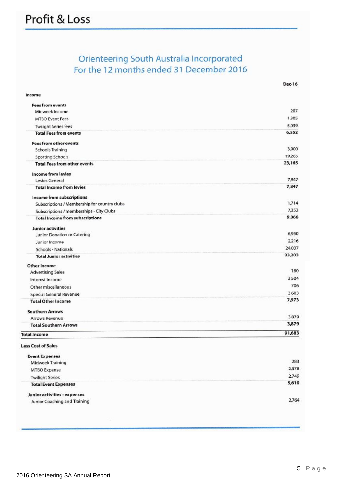# Orienteering South Australia Incorporated For the 12 months ended 31 December 2016

| Income                                       |        |
|----------------------------------------------|--------|
| <b>Fees from events</b>                      |        |
| Midweek Income                               | 207    |
| <b>MTBO Event Fees</b>                       | 1,305  |
| <b>Twilight Series fees</b>                  | 5,039  |
| <b>Total Fees from events</b>                | 6,552  |
| <b>Fees from other events</b>                |        |
| <b>Schools Training</b>                      | 3,900  |
| <b>Sporting Schools</b>                      | 19,265 |
| <b>Total Fees from other events</b>          | 23,165 |
| <b>Income from levies</b>                    |        |
| Levies General                               | 7,847  |
| <b>Total Income from levies</b>              | 7,847  |
| Income from subscriptions                    |        |
| Subscriptions / Membership for country clubs | 1,714  |
| Subscriptions / memberships - City Clubs     | 7,352  |
| <b>Total Income from subscriptions</b>       | 9,066  |
| <b>Junior activities</b>                     |        |
| Junior Donation or Catering                  | 6,950  |
| Junior Income                                | 2,216  |
| Schools - Nationals                          | 24,037 |
| <b>Total Junior activities</b>               | 33,203 |
| Other Income                                 |        |
| <b>Advertising Sales</b>                     | 160    |
| Interest Income                              | 3,504  |
| Other miscellaneous                          | 706    |
| Special General Revenue                      | 3,603  |
| <b>Total Other Income</b>                    | 7,973  |
| <b>Southern Arrows</b>                       |        |
| <b>Arrows Revenue</b>                        | 3,879  |
| <b>Total Southern Arrows</b>                 | 3,879  |
| <b>Total Income</b>                          | 91,683 |
| <b>Less Cost of Sales</b>                    |        |
| <b>Event Expenses</b>                        |        |
| Midweek Training                             | 283    |
| MTBO Expense                                 | 2,578  |
| <b>Twilight Series</b>                       | 2,749  |
| <b>Total Event Expenses</b>                  | 5,610  |
| Junior activities - expenses                 |        |
| Junior Coaching and Training                 | 2,764  |

**Dec-16**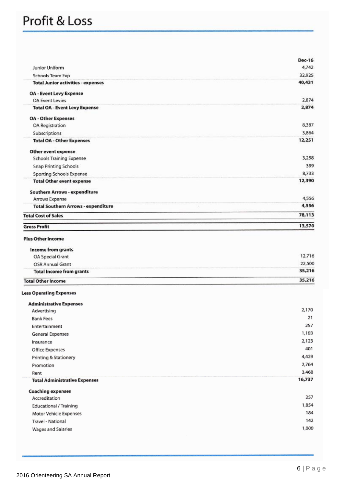# Profit & Loss

|                                            | <b>Dec-16</b> |
|--------------------------------------------|---------------|
| Junior Uniform                             | 4,742         |
| Schools Team Exp                           | 32,925        |
| <b>Total Junior activities - expenses</b>  | 40,431        |
| <b>OA - Event Levy Expense</b>             |               |
| <b>OA Event Levies</b>                     | 2,874         |
| <b>Total OA - Event Levy Expense</b>       | 2,874         |
| <b>OA</b> - Other Expenses                 |               |
| OA Registration                            | 8,387         |
| Subscriptions                              | 3,864         |
| <b>Total OA - Other Expenses</b>           | 12,251        |
| Other event expense                        |               |
| <b>Schools Training Expense</b>            | 3,258         |
| <b>Snap Printing Schools</b>               | 399           |
| <b>Sporting Schools Expense</b>            | 8,733         |
| <b>Total Other event expense</b>           | 12,390        |
| <b>Southern Arrows - expenditure</b>       |               |
| Arrows Expense                             | 4,556         |
| <b>Total Southern Arrows - expenditure</b> | 4,556         |
| <b>Total Cost of Sales</b>                 | 78,113        |
| <b>Gross Profit</b>                        | 13,570        |
| <b>Plus Other Income</b>                   |               |
| Income from grants                         |               |
| OA Special Grant                           | 12,716        |
| OSR Annual Grant                           | 22,500        |
| <b>Total Income from grants</b>            | 35,216        |
| <b>Total Other Income</b>                  | 35,216        |

## **Less Operating Expenses**

| <b>Administrative Expenses</b>       |        |
|--------------------------------------|--------|
| Advertising                          | 2,170  |
| <b>Bank Fees</b>                     | 21     |
| Entertainment                        | 257    |
| General Expenses                     | 1,103  |
| Insurance                            | 2,123  |
| Office Expenses                      | 401    |
| Printing & Stationery                | 4,429  |
| Promotion                            | 2,764  |
| Rent                                 | 3,468  |
| <b>Total Administrative Expenses</b> | 16,737 |
| <b>Coaching expenses</b>             |        |
| Accreditation                        | 257    |
| Educational / Training               | 1,854  |
| Motor Vehicle Expenses               | 184    |
| Travel - National                    | 142    |
| Wages and Salaries                   | 1,000  |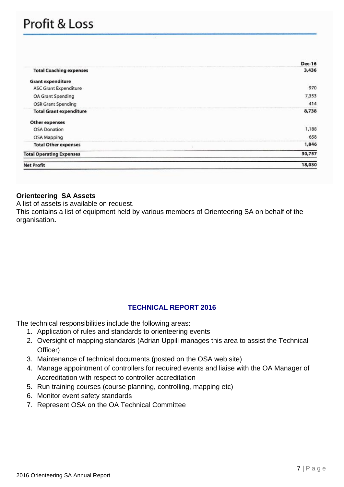# Profit & Loss

|                                 | <b>Dec-16</b> |
|---------------------------------|---------------|
| <b>Total Coaching expenses</b>  | 3,436         |
| <b>Grant expenditure</b>        |               |
| <b>ASC Grant Expenditure</b>    | 970           |
| OA Grant Spending               | 7,353         |
| OSR Grant Spending              | 414           |
| <b>Total Grant expenditure</b>  | 8,738         |
| <b>Other expenses</b>           |               |
| <b>OSA</b> Donation             | 1,188         |
| OSA Mapping                     | 658           |
| <b>Total Other expenses</b>     | 1,846         |
| <b>Total Operating Expenses</b> | 30,757        |
| <b>Net Profit</b>               | 18,030        |
|                                 |               |

#### **Orienteering SA Assets**

A list of assets is available on request.

This contains a list of equipment held by various members of Orienteering SA on behalf of the organisation**.** 

#### **TECHNICAL REPORT 2016**

The technical responsibilities include the following areas:

- 1. Application of rules and standards to orienteering events
- 2. Oversight of mapping standards (Adrian Uppill manages this area to assist the Technical Officer)
- 3. Maintenance of technical documents (posted on the OSA web site)
- 4. Manage appointment of controllers for required events and liaise with the OA Manager of Accreditation with respect to controller accreditation
- 5. Run training courses (course planning, controlling, mapping etc)
- 6. Monitor event safety standards
- 7. Represent OSA on the OA Technical Committee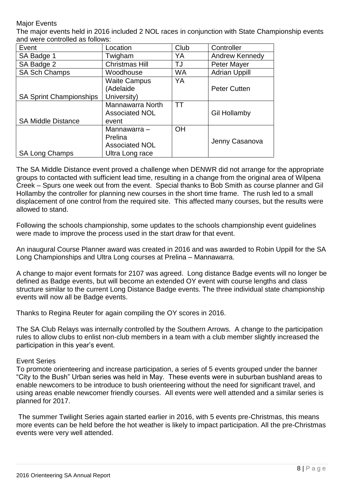#### Major Events

The major events held in 2016 included 2 NOL races in conjunction with State Championship events and were controlled as follows:

| Event                          | Location              | Club      | Controller           |
|--------------------------------|-----------------------|-----------|----------------------|
| SA Badge 1                     | Twigham               | YA        | Andrew Kennedy       |
| SA Badge 2                     | <b>Christmas Hill</b> | TJ        | Peter Mayer          |
| <b>SA Sch Champs</b>           | Woodhouse             | <b>WA</b> | <b>Adrian Uppill</b> |
|                                | <b>Waite Campus</b>   | YA        |                      |
|                                | (Adelaide             |           | <b>Peter Cutten</b>  |
| <b>SA Sprint Championships</b> | University)           |           |                      |
|                                | Mannawarra North      | <b>TT</b> |                      |
|                                | <b>Associated NOL</b> |           | <b>Gil Hollamby</b>  |
| <b>SA Middle Distance</b>      | event                 |           |                      |
|                                | Mannawarra -          | <b>OH</b> |                      |
|                                | Prelina               |           | Jenny Casanova       |
|                                | <b>Associated NOL</b> |           |                      |
| <b>SA Long Champs</b>          | Ultra Long race       |           |                      |

The SA Middle Distance event proved a challenge when DENWR did not arrange for the appropriate groups to contacted with sufficient lead time, resulting in a change from the original area of Wilpena Creek – Spurs one week out from the event. Special thanks to Bob Smith as course planner and Gil Hollamby the controller for planning new courses in the short time frame. The rush led to a small displacement of one control from the required site. This affected many courses, but the results were allowed to stand.

Following the schools championship, some updates to the schools championship event guidelines were made to improve the process used in the start draw for that event.

An inaugural Course Planner award was created in 2016 and was awarded to Robin Uppill for the SA Long Championships and Ultra Long courses at Prelina – Mannawarra.

A change to major event formats for 2107 was agreed. Long distance Badge events will no longer be defined as Badge events, but will become an extended OY event with course lengths and class structure similar to the current Long Distance Badge events. The three individual state championship events will now all be Badge events.

Thanks to Regina Reuter for again compiling the OY scores in 2016.

The SA Club Relays was internally controlled by the Southern Arrows. A change to the participation rules to allow clubs to enlist non-club members in a team with a club member slightly increased the participation in this year's event.

#### Event Series

To promote orienteering and increase participation, a series of 5 events grouped under the banner "City to the Bush" Urban series was held in May. These events were in suburban bushland areas to enable newcomers to be introduce to bush orienteering without the need for significant travel, and using areas enable newcomer friendly courses. All events were well attended and a similar series is planned for 2017.

The summer Twilight Series again started earlier in 2016, with 5 events pre-Christmas, this means more events can be held before the hot weather is likely to impact participation. All the pre-Christmas events were very well attended.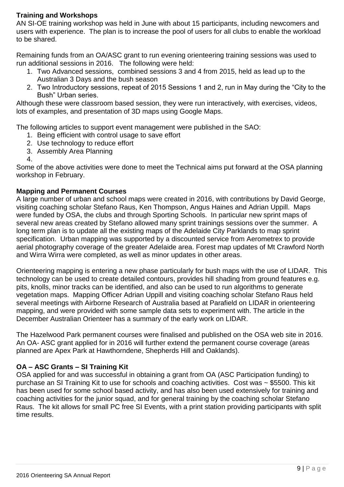### **Training and Workshops**

AN SI-OE training workshop was held in June with about 15 participants, including newcomers and users with experience. The plan is to increase the pool of users for all clubs to enable the workload to be shared.

Remaining funds from an OA/ASC grant to run evening orienteering training sessions was used to run additional sessions in 2016. The following were held:

- 1. Two Advanced sessions, combined sessions 3 and 4 from 2015, held as lead up to the Australian 3 Days and the bush season
- 2. Two Introductory sessions, repeat of 2015 Sessions 1 and 2, run in May during the "City to the Bush" Urban series.

Although these were classroom based session, they were run interactively, with exercises, videos, lots of examples, and presentation of 3D maps using Google Maps.

The following articles to support event management were published in the SAO:

- 1. Being efficient with control usage to save effort
- 2. Use technology to reduce effort
- 3. Assembly Area Planning
- 4.

Some of the above activities were done to meet the Technical aims put forward at the OSA planning workshop in February.

#### **Mapping and Permanent Courses**

A large number of urban and school maps were created in 2016, with contributions by David George, visiting coaching scholar Stefano Raus, Ken Thompson, Angus Haines and Adrian Uppill. Maps were funded by OSA, the clubs and through Sporting Schools. In particular new sprint maps of several new areas created by Stefano allowed many sprint trainings sessions over the summer. A long term plan is to update all the existing maps of the Adelaide City Parklands to map sprint specification. Urban mapping was supported by a discounted service from Aerometrex to provide aerial photography coverage of the greater Adelaide area. Forest map updates of Mt Crawford North and Wirra Wirra were completed, as well as minor updates in other areas.

Orienteering mapping is entering a new phase particularly for bush maps with the use of LIDAR. This technology can be used to create detailed contours, provides hill shading from ground features e.g. pits, knolls, minor tracks can be identified, and also can be used to run algorithms to generate vegetation maps. Mapping Officer Adrian Uppill and visiting coaching scholar Stefano Raus held several meetings with Airborne Research of Australia based at Parafield on LIDAR in orienteering mapping, and were provided with some sample data sets to experiment with. The article in the December Australian Orienteer has a summary of the early work on LIDAR.

The Hazelwood Park permanent courses were finalised and published on the OSA web site in 2016. An OA- ASC grant applied for in 2016 will further extend the permanent course coverage (areas planned are Apex Park at Hawthorndene, Shepherds Hill and Oaklands).

#### **OA – ASC Grants – SI Training Kit**

OSA applied for and was successful in obtaining a grant from OA (ASC Participation funding) to purchase an SI Training Kit to use for schools and coaching activities. Cost was ~ \$5500. This kit has been used for some school based activity, and has also been used extensively for training and coaching activities for the junior squad, and for general training by the coaching scholar Stefano Raus. The kit allows for small PC free SI Events, with a print station providing participants with split time results.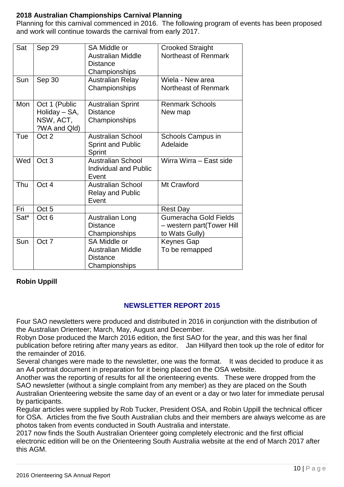### **2018 Australian Championships Carnival Planning**

Planning for this carnival commenced in 2016. The following program of events has been proposed and work will continue towards the carnival from early 2017.

| Sat  | Sep 29                                                      | <b>SA Middle or</b><br><b>Australian Middle</b><br><b>Distance</b><br>Championships | <b>Crooked Straight</b><br>Northeast of Renmark                             |
|------|-------------------------------------------------------------|-------------------------------------------------------------------------------------|-----------------------------------------------------------------------------|
| Sun  | Sep 30                                                      | <b>Australian Relay</b><br>Championships                                            | Wiela - New area<br>Northeast of Renmark                                    |
| Mon  | Oct 1 (Public<br>Holiday - SA,<br>NSW, ACT,<br>?WA and Qld) | <b>Australian Sprint</b><br><b>Distance</b><br>Championships                        | <b>Renmark Schools</b><br>New map                                           |
| Tue  | Oct 2                                                       | <b>Australian School</b><br><b>Sprint and Public</b><br>Sprint                      | Schools Campus in<br>Adelaide                                               |
| Wed  | Oct <sub>3</sub>                                            | <b>Australian School</b><br><b>Individual and Public</b><br>Event                   | Wirra Wirra - East side                                                     |
| Thu  | Oct 4                                                       | <b>Australian School</b><br><b>Relay and Public</b><br>Event                        | Mt Crawford                                                                 |
| Fri  | Oct <sub>5</sub>                                            |                                                                                     | <b>Rest Day</b>                                                             |
| Sat* | Oct <sub>6</sub>                                            | <b>Australian Long</b><br><b>Distance</b><br>Championships                          | <b>Gumeracha Gold Fields</b><br>- western part(Tower Hill<br>to Wats Gully) |
| Sun  | Oct 7                                                       | <b>SA Middle or</b><br><b>Australian Middle</b><br><b>Distance</b><br>Championships | <b>Keynes Gap</b><br>To be remapped                                         |

#### **Robin Uppill**

#### **NEWSLETTER REPORT 2015**

Four SAO newsletters were produced and distributed in 2016 in conjunction with the distribution of the Australian Orienteer; March, May, August and December.

Robyn Dose produced the March 2016 edition, the first SAO for the year, and this was her final publication before retiring after many years as editor. Jan Hillyard then took up the role of editor for the remainder of 2016.

Several changes were made to the newsletter, one was the format. It was decided to produce it as an A4 portrait document in preparation for it being placed on the OSA website.

Another was the reporting of results for all the orienteering events. These were dropped from the SAO newsletter (without a single complaint from any member) as they are placed on the South Australian Orienteering website the same day of an event or a day or two later for immediate perusal by participants.

Regular articles were supplied by Rob Tucker, President OSA, and Robin Uppill the technical officer for OSA. Articles from the five South Australian clubs and their members are always welcome as are photos taken from events conducted in South Australia and interstate.

2017 now finds the South Australian Orienteer going completely electronic and the first official electronic edition will be on the Orienteering South Australia website at the end of March 2017 after this AGM.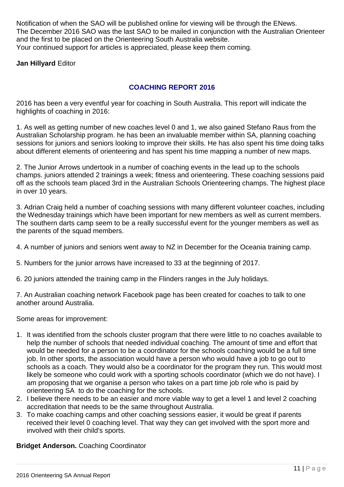Notification of when the SAO will be published online for viewing will be through the ENews. The December 2016 SAO was the last SAO to be mailed in conjunction with the Australian Orienteer and the first to be placed on the Orienteering South Australia website. Your continued support for articles is appreciated, please keep them coming.

**Jan Hillyard** Editor

### **COACHING REPORT 2016**

2016 has been a very eventful year for coaching in South Australia. This report will indicate the highlights of coaching in 2016:

1. As well as getting number of new coaches level 0 and 1, we also gained Stefano Raus from the Australian Scholarship program. he has been an invaluable member within SA, planning coaching sessions for juniors and seniors looking to improve their skills. He has also spent his time doing talks about different elements of orienteering and has spent his time mapping a number of new maps.

2. The Junior Arrows undertook in a number of coaching events in the lead up to the schools champs. juniors attended 2 trainings a week; fitness and orienteering. These coaching sessions paid off as the schools team placed 3rd in the Australian Schools Orienteering champs. The highest place in over 10 years.

3. Adrian Craig held a number of coaching sessions with many different volunteer coaches, including the Wednesday trainings which have been important for new members as well as current members. The southern darts camp seem to be a really successful event for the younger members as well as the parents of the squad members.

- 4. A number of juniors and seniors went away to NZ in December for the Oceania training camp.
- 5. Numbers for the junior arrows have increased to 33 at the beginning of 2017.
- 6. 20 juniors attended the training camp in the Flinders ranges in the July holidays.

7. An Australian coaching network Facebook page has been created for coaches to talk to one another around Australia.

Some areas for improvement:

- 1. It was identified from the schools cluster program that there were little to no coaches available to help the number of schools that needed individual coaching. The amount of time and effort that would be needed for a person to be a coordinator for the schools coaching would be a full time job. In other sports, the association would have a person who would have a job to go out to schools as a coach. They would also be a coordinator for the program they run. This would most likely be someone who could work with a sporting schools coordinator (which we do not have). I am proposing that we organise a person who takes on a part time job role who is paid by orienteering SA to do the coaching for the schools.
- 2. I believe there needs to be an easier and more viable way to get a level 1 and level 2 coaching accreditation that needs to be the same throughout Australia.
- 3. To make coaching camps and other coaching sessions easier, it would be great if parents received their level 0 coaching level. That way they can get involved with the sport more and involved with their child's sports.

#### **Bridget Anderson.** Coaching Coordinator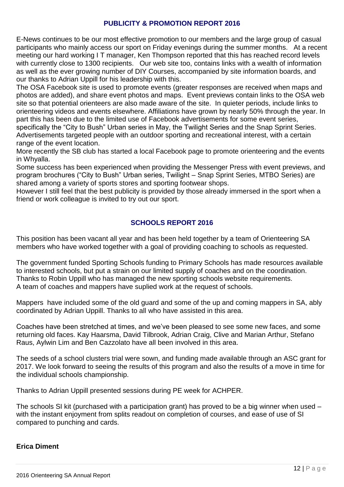#### **PUBLICITY & PROMOTION REPORT 2016**

E-News continues to be our most effective promotion to our members and the large group of casual participants who mainly access our sport on Friday evenings during the summer months. At a recent meeting our hard working I T manager, Ken Thompson reported that this has reached record levels with currently close to 1300 recipients. Our web site too, contains links with a wealth of information as well as the ever growing number of DIY Courses, accompanied by site information boards, and our thanks to Adrian Uppill for his leadership with this.

The OSA Facebook site is used to promote events (greater responses are received when maps and photos are added), and share event photos and maps. Event previews contain links to the OSA web site so that potential orienteers are also made aware of the site. In quieter periods, include links to orienteering videos and events elsewhere. Affiliations have grown by nearly 50% through the year. In part this has been due to the limited use of Facebook advertisements for some event series, specifically the "City to Bush" Urban series in May, the Twilight Series and the Snap Sprint Series.

Advertisements targeted people with an outdoor sporting and recreational interest, with a certain range of the event location.

More recently the SB club has started a local Facebook page to promote orienteering and the events in Whyalla.

Some success has been experienced when providing the Messenger Press with event previews, and program brochures ("City to Bush" Urban series, Twilight – Snap Sprint Series, MTBO Series) are shared among a variety of sports stores and sporting footwear shops.

However I still feel that the best publicity is provided by those already immersed in the sport when a friend or work colleague is invited to try out our sport.

#### **SCHOOLS REPORT 2016**

This position has been vacant all year and has been held together by a team of Orienteering SA members who have worked together with a goal of providing coaching to schools as requested.

The government funded Sporting Schools funding to Primary Schools has made resources available to interested schools, but put a strain on our limited supply of coaches and on the coordination. Thanks to Robin Uppill who has managed the new sporting schools website requirements. A team of coaches and mappers have suplied work at the request of schools.

Mappers have included some of the old guard and some of the up and coming mappers in SA, ably coordinated by Adrian Uppill. Thanks to all who have assisted in this area.

Coaches have been stretched at times, and we've been pleased to see some new faces, and some returning old faces. Kay Haarsma, David Tilbrook, Adrian Craig, Clive and Marian Arthur, Stefano Raus, Aylwin Lim and Ben Cazzolato have all been involved in this area.

The seeds of a school clusters trial were sown, and funding made available through an ASC grant for 2017. We look forward to seeing the results of this program and also the results of a move in time for the individual schools championship.

Thanks to Adrian Uppill presented sessions during PE week for ACHPER.

The schools SI kit (purchased with a participation grant) has proved to be a big winner when used – with the instant enjoyment from splits readout on completion of courses, and ease of use of SI compared to punching and cards.

#### **Erica Diment**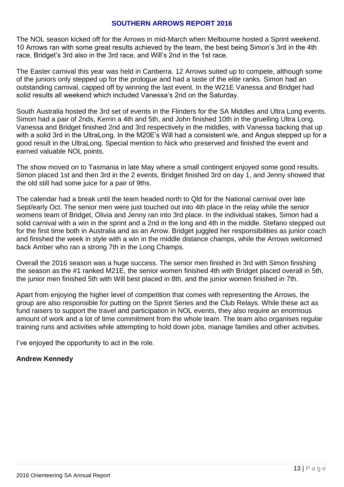#### **SOUTHERN ARROWS REPORT 2016**

The NOL season kicked off for the Arrows in mid-March when Melbourne hosted a Sprint weekend. 10 Arrows ran with some great results achieved by the team, the best being Simon's 3rd in the 4th race, Bridget's 3rd also in the 3rd race, and Will's 2nd in the 1st race.

The Easter carnival this year was held in Canberra. 12 Arrows suited up to compete, although some of the juniors only stepped up for the prologue and had a taste of the elite ranks. Simon had an outstanding carnival, capped off by winning the last event. In the W21E Vanessa and Bridget had solid results all weekend which included Vanessa's 2nd on the Saturday.

South Australia hosted the 3rd set of events in the Flinders for the SA Middles and Ultra Long events. Simon had a pair of 2nds, Kerrin a 4th and 5th, and John finished 10th in the gruelling Ultra Long. Vanessa and Bridget finished 2nd and 3rd respectively in the middles, with Vanessa backing that up with a solid 3rd in the UltraLong. In the M20E's Will had a consistent w/e, and Angus stepped up for a good result in the UltraLong. Special mention to Nick who preserved and finished the event and earned valuable NOL points.

The show moved on to Tasmania in late May where a small contingent enjoyed some good results. Simon placed 1st and then 3rd in the 2 events, Bridget finished 3rd on day 1, and Jenny showed that the old still had some juice for a pair of 9ths.

The calendar had a break until the team headed north to Qld for the National carnival over late Sept/early Oct. The senior men were just touched out into 4th place in the relay while the senior womens team of Bridget, Olivia and Jenny ran into 3rd place. In the individual stakes, Simon had a solid carnival with a win in the sprint and a 2nd in the long and 4th in the middle. Stefano stepped out for the first time both in Australia and as an Arrow. Bridget juggled her responsibilities as junior coach and finished the week in style with a win in the middle distance champs, while the Arrows welcomed back Amber who ran a strong 7th in the Long Champs.

Overall the 2016 season was a huge success. The senior men finished in 3rd with Simon finishing the season as the #1 ranked M21E, the senior women finished 4th with Bridget placed overall in 5th, the junior men finished 5th with Will best placed in 8th, and the junior women finished in 7th.

Apart from enjoying the higher level of competition that comes with representing the Arrows, the group are also responsible for putting on the Sprint Series and the Club Relays. While these act as fund raisers to support the travel and participation in NOL events, they also require an enormous amount of work and a lot of time commitment from the whole team. The team also organises regular training runs and activities while attempting to hold down jobs, manage families and other activities.

I've enjoyed the opportunity to act in the role.

#### **Andrew Kennedy**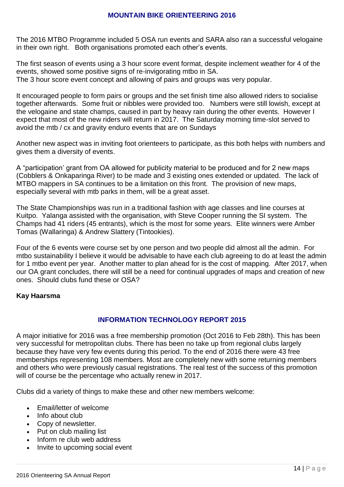#### **MOUNTAIN BIKE ORIENTEERING 2016**

The 2016 MTBO Programme included 5 OSA run events and SARA also ran a successful velogaine in their own right. Both organisations promoted each other's events.

The first season of events using a 3 hour score event format, despite inclement weather for 4 of the events, showed some positive signs of re-invigorating mtbo in SA. The 3 hour score event concept and allowing of pairs and groups was very popular.

It encouraged people to form pairs or groups and the set finish time also allowed riders to socialise together afterwards. Some fruit or nibbles were provided too. Numbers were still lowish, except at the velogaine and state champs, caused in part by heavy rain during the other events. However I expect that most of the new riders will return in 2017. The Saturday morning time-slot served to avoid the mtb / cx and gravity enduro events that are on Sundays

Another new aspect was in inviting foot orienteers to participate, as this both helps with numbers and gives them a diversity of events.

A "participation' grant from OA allowed for publicity material to be produced and for 2 new maps (Cobblers & Onkaparinga River) to be made and 3 existing ones extended or updated. The lack of MTBO mappers in SA continues to be a limitation on this front. The provision of new maps, especially several with mtb parks in them, will be a great asset.

The State Championships was run in a traditional fashion with age classes and line courses at Kuitpo. Yalanga assisted with the organisation, with Steve Cooper running the SI system. The Champs had 41 riders (45 entrants), which is the most for some years. Elite winners were Amber Tomas (Wallaringa) & Andrew Slattery (Tintookies).

Four of the 6 events were course set by one person and two people did almost all the admin. For mtbo sustainability I believe it would be advisable to have each club agreeing to do at least the admin for 1 mtbo event per year. Another matter to plan ahead for is the cost of mapping. After 2017, when our OA grant concludes, there will still be a need for continual upgrades of maps and creation of new ones. Should clubs fund these or OSA?

#### **Kay Haarsma**

#### **INFORMATION TECHNOLOGY REPORT 2015**

A major initiative for 2016 was a free membership promotion (Oct 2016 to Feb 28th). This has been very successful for metropolitan clubs. There has been no take up from regional clubs largely because they have very few events during this period. To the end of 2016 there were 43 free memberships representing 108 members. Most are completely new with some returning members and others who were previously casual registrations. The real test of the success of this promotion will of course be the percentage who actually renew in 2017.

Clubs did a variety of things to make these and other new members welcome:

- Email/letter of welcome
- Info about club
- Copy of newsletter.
- Put on club mailing list
- Inform re club web address
- Invite to upcoming social event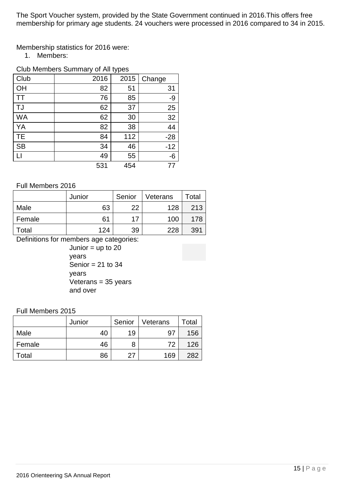The Sport Voucher system, provided by the State Government continued in 2016.This offers free membership for primary age students. 24 vouchers were processed in 2016 compared to 34 in 2015.

Membership statistics for 2016 were:

1. Members:

### Club Members Summary of All types

| Club         | 2016 | 2015 | Change |  |
|--------------|------|------|--------|--|
| OH           | 82   | 51   | 31     |  |
| <b>TT</b>    | 76   | 85   | -9     |  |
| <b>TJ</b>    | 62   | 37   | 25     |  |
| <b>WA</b>    | 62   | 30   | 32     |  |
| YA           | 82   | 38   | 44     |  |
| <b>TE</b>    | 84   | 112  | $-28$  |  |
| <b>SB</b>    | 34   | 46   | $-12$  |  |
| $\mathsf{L}$ | 49   | 55   | -6     |  |
|              | 531  | 454  | 77     |  |

#### Full Members 2016

|        | Junior | Senior | Veterans | Total |
|--------|--------|--------|----------|-------|
| Male   | 63     | 22     | 128      | 213   |
| Female | 61     | 17     | 100      | 178   |
| Total  | 124    | 39     | 228      | 391   |

Definitions for members age categories:

Junior  $=$  up to 20 years Senior  $= 21$  to 34 years Veterans = 35 years and over

#### Full Members 2015

|        | Junior | Senior | Veterans | Total |
|--------|--------|--------|----------|-------|
| Male   | 40     | 19     | . 97     | 156   |
| Female | 46     | 8      | 72       | 126   |
| Total  | 86     | 27     | 169      | 282   |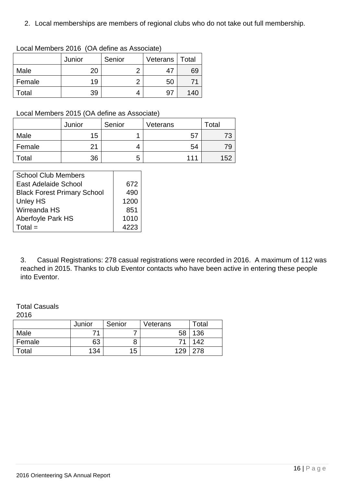2. Local memberships are members of regional clubs who do not take out full membership.

|        | Junior | Senior | Veterans | Total |
|--------|--------|--------|----------|-------|
| Male   | 20     | o      | 47       | 69    |
| Female | 19     |        | 50       |       |
| Гоtal  | 39     |        | 97       | 140   |

#### Local Members 2016 (OA define as Associate)

## Local Members 2015 (OA define as Associate)

|        | Junior | Senior | Veterans | Total |
|--------|--------|--------|----------|-------|
| Male   | 15     |        | 5        |       |
| Female | つ1     | 4      | 54       | 79    |
| Total  | 36     | 5      | 111      | 152   |

| <b>School Club Members</b>         |                 |
|------------------------------------|-----------------|
| East Adelaide School               | 672             |
| <b>Black Forest Primary School</b> | 49 <sub>C</sub> |
| <b>Unley HS</b>                    | 1200            |
| Wirreanda HS                       | 851             |
| <b>Aberfoyle Park HS</b>           | 1010            |
| $Total =$                          | 4223            |

3. Casual Registrations: 278 casual registrations were recorded in 2016. A maximum of 112 was reached in 2015. Thanks to club Eventor contacts who have been active in entering these people into Eventor.

# Total Casuals

2016

|        | Junior | Senior | Veterans | Total |
|--------|--------|--------|----------|-------|
| Male   | 74     |        | 58       | 136   |
| Female | 63     |        | 71       | 142   |
| Total  | 134    | 15     | 129      | 278   |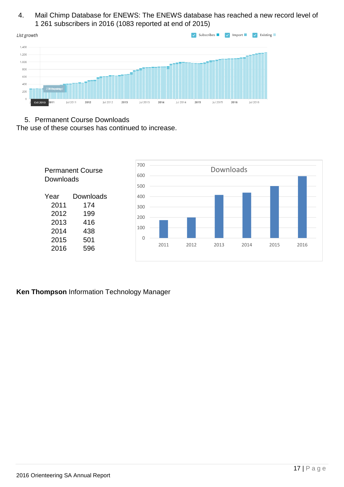#### 4. Mail Chimp Database for ENEWS: The ENEWS database has reached a new record level of 1 261 subscribers in 2016 (1083 reported at end of 2015)



#### 5. Permanent Course Downloads

The use of these courses has continued to increase.



#### **Ken Thompson** Information Technology Manager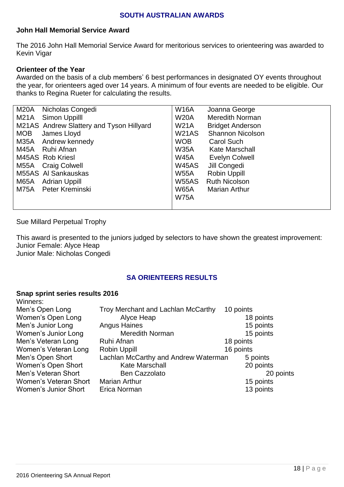#### **SOUTH AUSTRALIAN AWARDS**

#### **John Hall Memorial Service Award**

The 2016 John Hall Memorial Service Award for meritorious services to orienteering was awarded to Kevin Vigar

#### **Orienteer of the Year**

Awarded on the basis of a club members' 6 best performances in designated OY events throughout the year, for orienteers aged over 14 years. A minimum of four events are needed to be eligible. Our thanks to Regina Rueter for calculating the results.

| M20A       | Nicholas Congedi                         | <b>W16A</b>  | Joanna George           |
|------------|------------------------------------------|--------------|-------------------------|
| M21A       | Simon Uppilll                            | <b>W20A</b>  | <b>Meredith Norman</b>  |
|            | M21AS Andrew Slattery and Tyson Hillyard | <b>W21A</b>  | <b>Bridget Anderson</b> |
| <b>MOB</b> | James Lloyd                              | <b>W21AS</b> | <b>Shannon Nicolson</b> |
| M35A       | Andrew kennedy                           | <b>WOB</b>   | <b>Carol Such</b>       |
|            | M45A Ruhi Afnan                          | <b>W35A</b>  | <b>Kate Marschall</b>   |
|            | M45AS Rob Kriesl                         | <b>W45A</b>  | <b>Evelyn Colwell</b>   |
|            | M55A Craig Colwell                       | <b>W45AS</b> | Jill Congedi            |
|            | M55AS AI Sankauskas                      | <b>W55A</b>  | <b>Robin Uppill</b>     |
| M65A       | Adrian Uppill                            | <b>W55AS</b> | <b>Ruth Nicolson</b>    |
| M75A       | Peter Kreminski                          | <b>W65A</b>  | <b>Marian Arthur</b>    |
|            |                                          | <b>W75A</b>  |                         |
|            |                                          |              |                         |

#### Sue Millard Perpetual Trophy

This award is presented to the juniors judged by selectors to have shown the greatest improvement: Junior Female: Alyce Heap Junior Male: Nicholas Congedi

#### **SA ORIENTEERS RESULTS**

#### **Snap sprint series results 2016** Winners:

| vvinners.             |                                           |           |
|-----------------------|-------------------------------------------|-----------|
| Men's Open Long       | <b>Troy Merchant and Lachlan McCarthy</b> | 10 points |
| Women's Open Long     | Alyce Heap                                | 18 points |
| Men's Junior Long     | <b>Angus Haines</b>                       | 15 points |
| Women's Junior Long   | <b>Meredith Norman</b>                    | 15 points |
| Men's Veteran Long    | Ruhi Afnan                                | 18 points |
| Women's Veteran Long  | Robin Uppill                              | 16 points |
| Men's Open Short      | Lachlan McCarthy and Andrew Waterman      | 5 points  |
| Women's Open Short    | <b>Kate Marschall</b>                     | 20 points |
| Men's Veteran Short   | <b>Ben Cazzolato</b>                      | 20 points |
| Women's Veteran Short | <b>Marian Arthur</b>                      | 15 points |
| Women's Junior Short  | Erica Norman                              | 13 points |
|                       |                                           |           |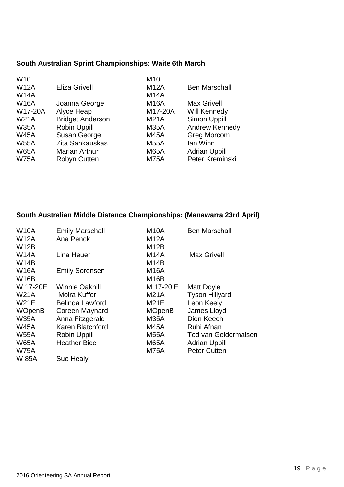# **South Australian Sprint Championships: Waite 6th March**

| W <sub>10</sub> |                         | M <sub>10</sub> |                       |
|-----------------|-------------------------|-----------------|-----------------------|
| <b>W12A</b>     | <b>Eliza Grivell</b>    | <b>M12A</b>     | <b>Ben Marschall</b>  |
| <b>W14A</b>     |                         | <b>M14A</b>     |                       |
| <b>W16A</b>     | Joanna George           | <b>M16A</b>     | <b>Max Grivell</b>    |
| W17-20A         | Alyce Heap              | M17-20A         | <b>Will Kennedy</b>   |
| <b>W21A</b>     | <b>Bridget Anderson</b> | <b>M21A</b>     | Simon Uppill          |
| <b>W35A</b>     | <b>Robin Uppill</b>     | <b>M35A</b>     | <b>Andrew Kennedy</b> |
| <b>W45A</b>     | Susan George            | <b>M45A</b>     | <b>Greg Morcom</b>    |
| <b>W55A</b>     | Zita Sankauskas         | <b>M55A</b>     | lan Winn              |
| <b>W65A</b>     | <b>Marian Arthur</b>    | <b>M65A</b>     | <b>Adrian Uppill</b>  |
| <b>W75A</b>     | <b>Robyn Cutten</b>     | <b>M75A</b>     | Peter Kreminski       |
|                 |                         |                 |                       |

# **South Australian Middle Distance Championships: (Manawarra 23rd April)**

| <b>W10A</b>   | <b>Emily Marschall</b> | M <sub>10</sub> A | <b>Ben Marschall</b>        |
|---------------|------------------------|-------------------|-----------------------------|
| <b>W12A</b>   | Ana Penck              | M12A              |                             |
| <b>W12B</b>   |                        | M12B              |                             |
| <b>W14A</b>   | Lina Heuer             | <b>M14A</b>       | <b>Max Grivell</b>          |
| <b>W14B</b>   |                        | M <sub>14</sub> B |                             |
| <b>W16A</b>   | <b>Emily Sorensen</b>  | <b>M16A</b>       |                             |
| <b>W16B</b>   |                        | M <sub>16</sub> B |                             |
| W 17-20E      | <b>Winnie Oakhill</b>  | M 17-20 E         | Matt Doyle                  |
| <b>W21A</b>   | Moira Kuffer           | <b>M21A</b>       | <b>Tyson Hillyard</b>       |
| <b>W21E</b>   | <b>Belinda Lawford</b> | M21E              | Leon Keely                  |
| <b>WOpenB</b> | Coreen Maynard         | <b>MOpenB</b>     | James Lloyd                 |
| <b>W35A</b>   | Anna Fitzgerald        | M35A              | Dion Keech                  |
| <b>W45A</b>   | Karen Blatchford       | M45A              | Ruhi Afnan                  |
| <b>W55A</b>   | <b>Robin Uppill</b>    | M55A              | <b>Ted van Geldermalsen</b> |
| <b>W65A</b>   | <b>Heather Bice</b>    | <b>M65A</b>       | <b>Adrian Uppill</b>        |
| <b>W75A</b>   |                        | M75A              | <b>Peter Cutten</b>         |
| W 85A         | <b>Sue Healy</b>       |                   |                             |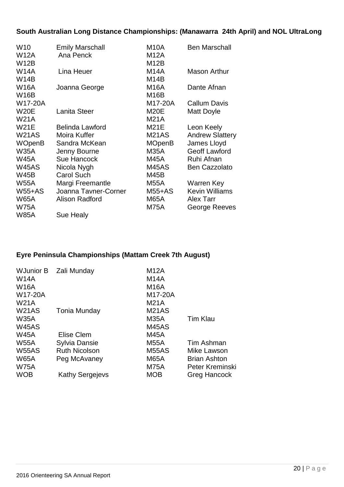# **South Australian Long Distance Championships: (Manawarra 24th April) and NOL UltraLong**

| W <sub>10</sub> | <b>Emily Marschall</b> | M <sub>10</sub> A | <b>Ben Marschall</b>   |
|-----------------|------------------------|-------------------|------------------------|
| <b>W12A</b>     | Ana Penck              | <b>M12A</b>       |                        |
| <b>W12B</b>     |                        | M12B              |                        |
| <b>W14A</b>     | Lina Heuer             | <b>M14A</b>       | <b>Mason Arthur</b>    |
| <b>W14B</b>     |                        | M <sub>14</sub> B |                        |
| <b>W16A</b>     | Joanna George          | <b>M16A</b>       | Dante Afnan            |
| <b>W16B</b>     |                        | <b>M16B</b>       |                        |
| W17-20A         |                        | M17-20A           | <b>Callum Davis</b>    |
| <b>W20E</b>     | Lanita Steer           | <b>M20E</b>       | <b>Matt Doyle</b>      |
| <b>W21A</b>     |                        | <b>M21A</b>       |                        |
| <b>W21E</b>     | <b>Belinda Lawford</b> | M21E              | Leon Keely             |
| W21AS           | Moira Kuffer           | <b>M21AS</b>      | <b>Andrew Slattery</b> |
| <b>WOpenB</b>   | Sandra McKean          | <b>MOpenB</b>     | James Lloyd            |
| <b>W35A</b>     | Jenny Bourne           | M35A              | <b>Geoff Lawford</b>   |
| <b>W45A</b>     | <b>Sue Hancock</b>     | M45A              | Ruhi Afnan             |
| <b>W45AS</b>    | Nicola Nygh            | M45AS             | <b>Ben Cazzolato</b>   |
| <b>W45B</b>     | <b>Carol Such</b>      | M45B              |                        |
| <b>W55A</b>     | Margi Freemantle       | <b>M55A</b>       | Warren Key             |
| <b>W55+AS</b>   | Joanna Tavner-Corner   | <b>M55+AS</b>     | <b>Kevin Williams</b>  |
| <b>W65A</b>     | <b>Alison Radford</b>  | <b>M65A</b>       | <b>Alex Tarr</b>       |
| <b>W75A</b>     |                        | <b>M75A</b>       | George Reeves          |
| <b>W85A</b>     | Sue Healy              |                   |                        |

# **Eyre Peninsula Championships (Mattam Creek 7th August)**

| <b>W14A</b><br><b>W16A</b><br>W17-20A<br><b>W21A</b>                    | WJunior B Zali Munday                                                           | <b>M12A</b><br><b>M14A</b><br><b>M16A</b><br>M17-20A<br><b>M21A</b>                   |                                                                                            |
|-------------------------------------------------------------------------|---------------------------------------------------------------------------------|---------------------------------------------------------------------------------------|--------------------------------------------------------------------------------------------|
| W <sub>21</sub> AS<br><b>W35A</b><br>W45AS<br><b>W45A</b>               | Tonia Munday<br>Elise Clem                                                      | M <sub>21</sub> AS<br><b>M35A</b><br>M45AS                                            | <b>Tim Klau</b>                                                                            |
| <b>W55A</b><br><b>W55AS</b><br><b>W65A</b><br><b>W75A</b><br><b>WOB</b> | Sylvia Dansie<br><b>Ruth Nicolson</b><br>Peg McAvaney<br><b>Kathy Sergejevs</b> | M45A<br><b>M55A</b><br>M <sub>55</sub> AS<br><b>M65A</b><br><b>M75A</b><br><b>MOB</b> | Tim Ashman<br>Mike Lawson<br><b>Brian Ashton</b><br>Peter Kreminski<br><b>Greg Hancock</b> |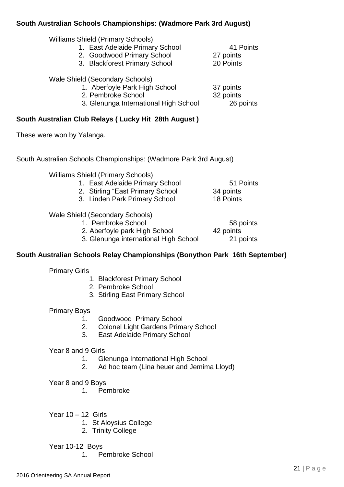#### **South Australian Schools Championships: (Wadmore Park 3rd August)**

- 1. East Adelaide Primary School 41 Points<br>2. Goodwood Primary School 27 points
- 2. Goodwood Primary School
- 3. Blackforest Primary School 20 Points

Wale Shield (Secondary Schools)

- 1. Aberfoyle Park High School 37 points
- 2. Pembroke School 32 points

3. Glenunga International High School 26 points

# **South Australian Club Relays ( Lucky Hit 28th August )**

These were won by Yalanga.

South Australian Schools Championships: (Wadmore Park 3rd August)

Williams Shield (Primary Schools)

- 1. East Adelaide Primary School 51 Points 2. Stirling "East Primary School 34 points
- 3. Linden Park Primary School 18 Points

# Wale Shield (Secondary Schools)

1. Pembroke School 58 points

2. Aberfoyle park High School 42 points

3. Glenunga international High School 21 points

# **South Australian Schools Relay Championships (Bonython Park 16th September)**

Primary Girls

- 1. Blackforest Primary School
- 2. Pembroke School
- 3. Stirling East Primary School

#### Primary Boys

- 1. Goodwood Primary School
- 2. Colonel Light Gardens Primary School
- 3. East Adelaide Primary School

#### Year 8 and 9 Girls

- 1. Glenunga International High School
- 2. Ad hoc team (Lina heuer and Jemima Lloyd)

#### Year 8 and 9 Boys

- 1. Pembroke
- Year 10 12 Girls
	- 1. St Aloysius College
	- 2. Trinity College

#### Year 10-12 Boys

1. Pembroke School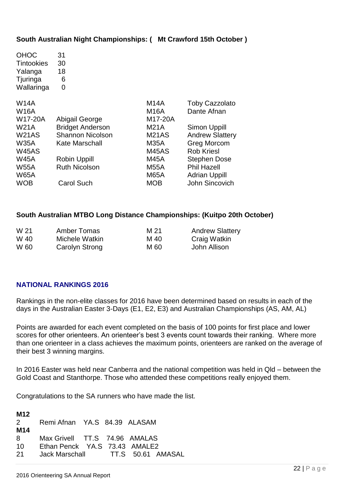#### **South Australian Night Championships: ( Mt Crawford 15th October )**

| <b>Toby Cazzolato</b>  |
|------------------------|
| Dante Afnan            |
|                        |
| Simon Uppill           |
| <b>Andrew Slattery</b> |
| <b>Greg Morcom</b>     |
| Rob Kriesl             |
| <b>Stephen Dose</b>    |
| <b>Phil Hazell</b>     |
| <b>Adrian Uppill</b>   |
| John Sincovich         |
|                        |

#### **South Australian MTBO Long Distance Championships: (Kuitpo 20th October)**

| W 21 | Amber Tomas    | M 21 | <b>Andrew Slattery</b> |
|------|----------------|------|------------------------|
| W 40 | Michele Watkin | M 40 | Craig Watkin           |
| W 60 | Carolyn Strong | M 60 | John Allison           |

#### **NATIONAL RANKINGS 2016**

Rankings in the non-elite classes for 2016 have been determined based on results in each of the days in the Australian Easter 3-Days (E1, E2, E3) and Australian Championships (AS, AM, AL)

Points are awarded for each event completed on the basis of 100 points for first place and lower scores for other orienteers. An orienteer's best 3 events count towards their ranking. Where more than one orienteer in a class achieves the maximum points, orienteers are ranked on the average of their best 3 winning margins.

In 2016 Easter was held near Canberra and the national competition was held in Qld – between the Gold Coast and Stanthorpe. Those who attended these competitions really enjoyed them.

Congratulations to the SA runners who have made the list.

| M12<br>2<br>M <sub>14</sub> | Remi Afnan YA.S 84.39 ALASAM                                                                       |  |  |
|-----------------------------|----------------------------------------------------------------------------------------------------|--|--|
| 8<br>10<br>21               | Max Grivell TT.S 74.96 AMALAS<br>Ethan Penck YA.S 73.43 AMALE2<br>Jack Marschall TT.S 50.61 AMASAL |  |  |